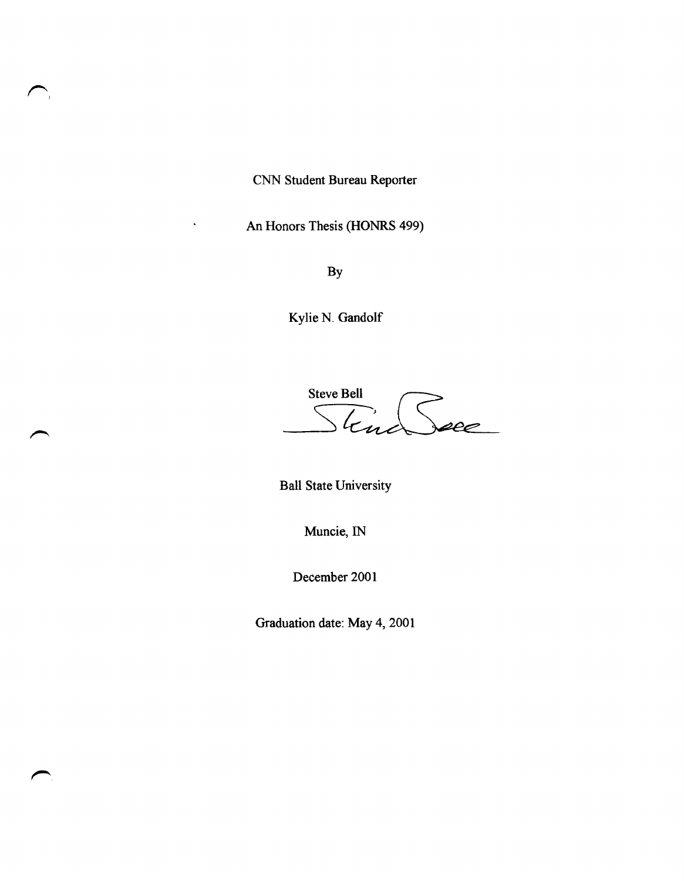CNN Student Bureau Reporter

 $\sum_{i=1}^{n}$ 

An Honors Thesis (HONRS 499)

By

Kylie N. Gandolf

Steve Bell<br>Stand See

Ball State University

Muncie, IN

December 2001

Graduation date: May 4, 2001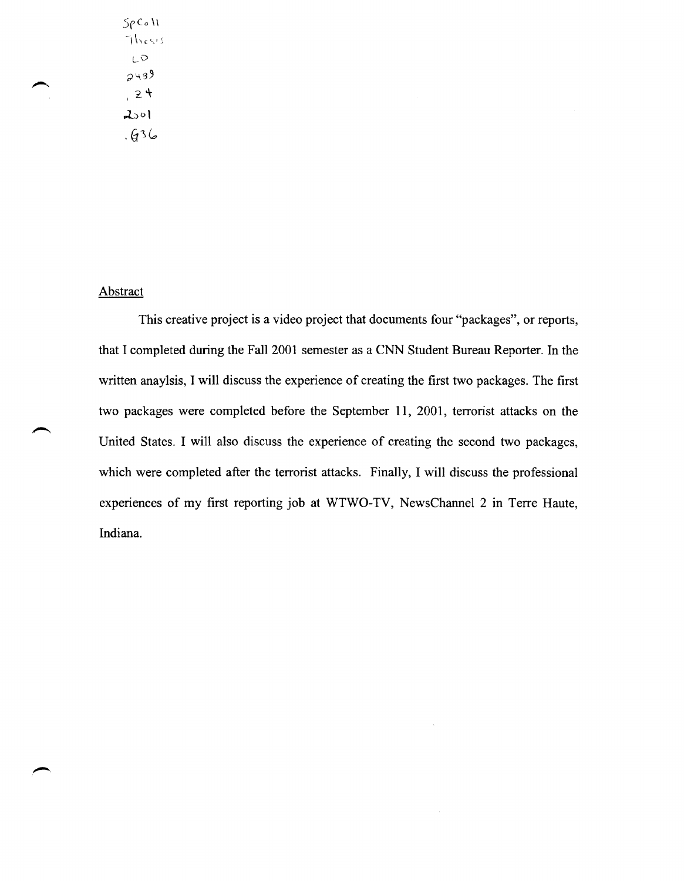$5\rho$ Co  $\mathcal W$ Thesis LV  $2439$  $, 24$  $2001$  $.636$ 

#### Abstract

This creative project is a video project that documents four "packages", or reports, that I completed during the Fall 2001 semester as a CNN Student Bureau Reporter. In the written anaylsis, I will discuss the experience of creating the first two packages. The first two packages were completed before the September 11, 2001, terrorist attacks on the United States. I will also discuss the experience of creating the second two packages, which were completed after the terrorist attacks. Finally, I will discuss the professional experiences of my first reporting job at WTWO-TV, NewsChannel 2 in Terre Haute, Indiana.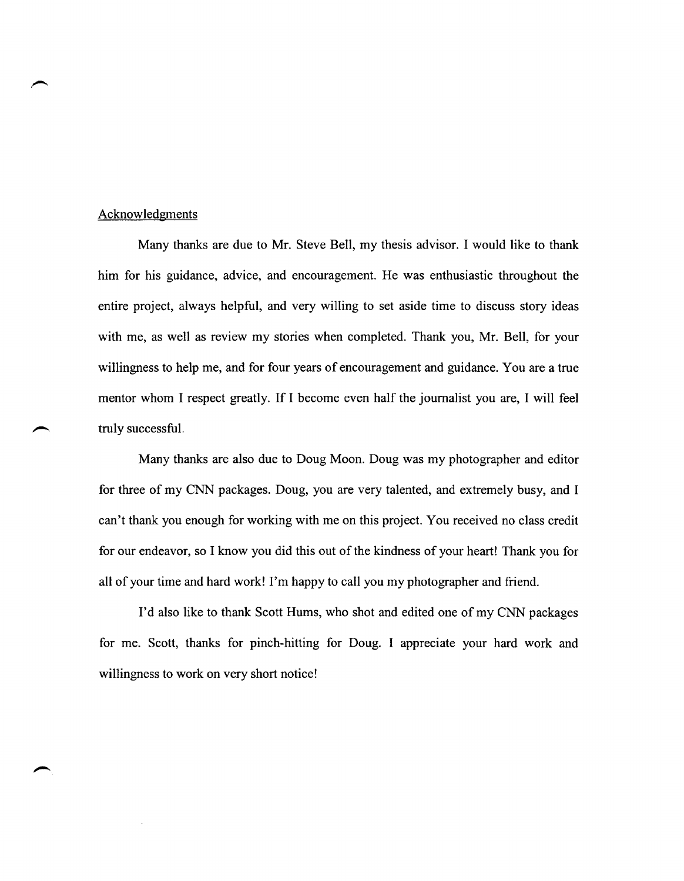#### Acknowledgments

Many thanks are due to Mr. Steve Bell, my thesis advisor. I would like to thank: him for his guidance, advice, and encouragement. He was enthusiastic throughout the entire project, always helpful, and very willing to set aside time to discuss story ideas with me, as well as review my stories when completed. Thank you, Mr. Bell, for your willingness to help me, and for four years of encouragement and guidance. You are a true mentor whom I respect greatly. If I become even half the journalist you are, I will feel truly successful.

Many thanks are also due to Doug Moon. Doug was my photographer and editor for three of my CNN packages. Doug, you are very talented, and extremely busy, and I can't thank you enough for working with me on this project. You received no class credit for our endeavor, so I know you did this out of the kindness of your heart! Thank you for all of your time and hard work! I'm happy to call you my photographer and friend.

I'd also like to thank Scott Hums, who shot and edited one of my CNN packages for me. Scott, thanks for pinch-hitting for Doug. I appreciate your hard work and willingness to work on very short notice!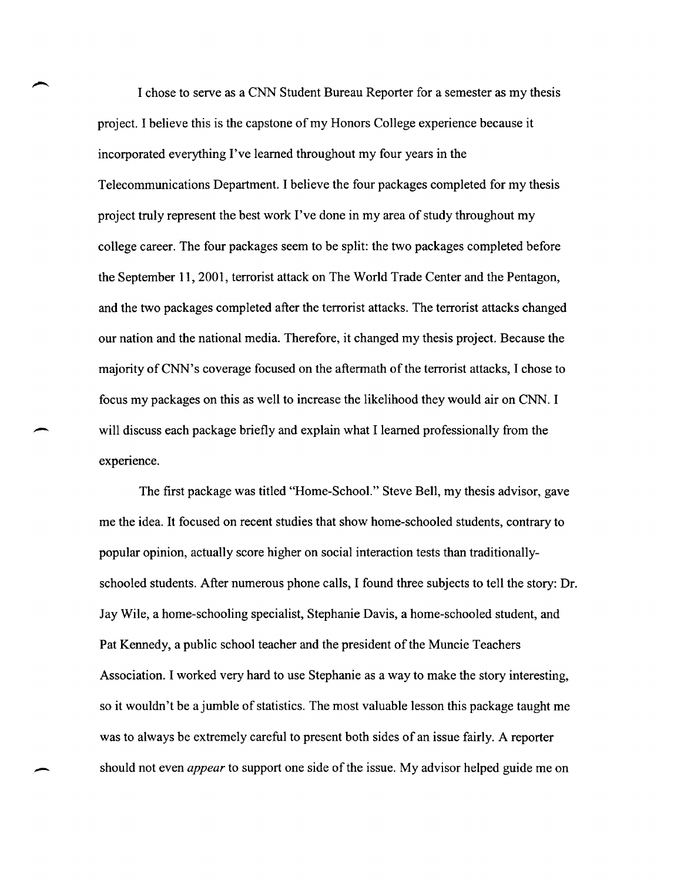I chose to serve as a CNN Student Bureau Reporter for a semester as my thesis project. I believe this is the capstone of my Honors College experience because it incorporated everything I've learned throughout my four years in the Telecommunications Department. I believe the four packages completed for my thesis project truly represent the best work I've done in my area of study throughout my college career. The four packages seem to be split: the two packages completed before the September 11,2001, terrorist attack on The World Trade Center and the Pentagon, and the two packages completed after the terrorist attacks. The terrorist attacks changed our nation and the national media. Therefore, it changed my thesis project. Because the majority ofCNN's coverage focused on the aftermath of the terrorist attacks, I chose to focus my packages on this as well to increase the likelihood they would air on CNN. I will discuss each package briefly and explain what I learned professionally from the experience.

The first package was titled "Home-School." Steve Bell, my thesis advisor, gave me the idea. It focused on recent studies that show home-schooled students, contrary to popular opinion, actually score higher on social interaction tests than traditionallyschooled students. After numerous phone calls, I found three subjects to tell the story: Dr. Jay Wile, a home-schooling specialist, Stephanie Davis, a home-schooled student, and Pat Kennedy, a public school teacher and the president of the Muncie Teachers Association. I worked very hard to use Stephanie as a way to make the story interesting, so it wouldn't be a jumble of statistics. The most valuable lesson this package taught me was to always be extremely careful to present both sides of an issue fairly. A reporter \_ should not even *appear* to support one side of the issue. My advisor helped guide me on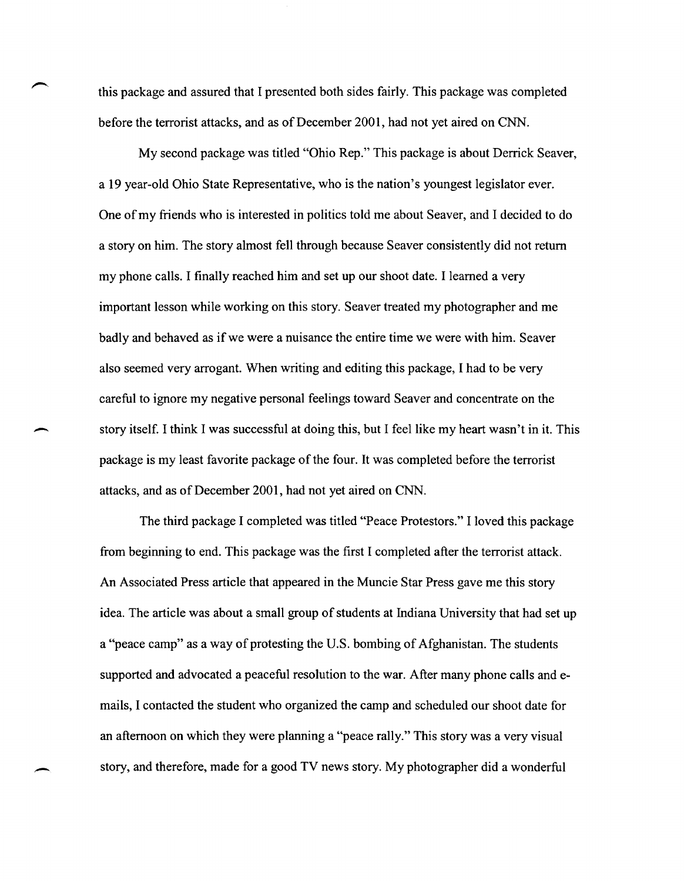this package and assured that I presented both sides fairly. This package was completed before the terrorist attacks, and as of December 2001, had not yet aired on CNN.

My second package was titled "Ohio Rep." This package is about Derrick Seaver, a 19 year-old Ohio State Representative, who is the nation's youngest legislator ever. One of my friends who is interested in politics told me about Seaver, and I decided to do a story on him. The story almost fell through because Seaver consistently did not return my phone calls. I finally reached him and set up our shoot date. I learned a very important lesson while working on this story. Seaver treated my photographer and me badly and behaved as if we were a nuisance the entire time we were with him. Seaver also seemed very arrogant. When writing and editing this package, I had to be very careful to ignore my negative personal feelings toward Seaver and concentrate on the story itself. I think I was successful at doing this, but I feel like my heart wasn't in it. This package is my least favorite package of the four. It was completed before the terrorist attacks, and as of December 2001, had not yet aired on CNN.

The third package I completed was titled "Peace Protestors." I loved this package from beginning to end. This package was the first I completed after the terrorist attack. An Associated Press article that appeared in the Muncie Star Press gave me this story idea. The article was about a small group of students at Indiana University that had set up a "peace camp" as a way of protesting the U.S. bombing of Afghanistan. The students supported and advocated a peaceful resolution to the war. After many phone calls and emails, I contacted the student who organized the camp and scheduled our shoot date for an afternoon on which they were planning a "peace rally." This story was a very visual story, and therefore, made for a good TV news story. My photographer did a wonderful

-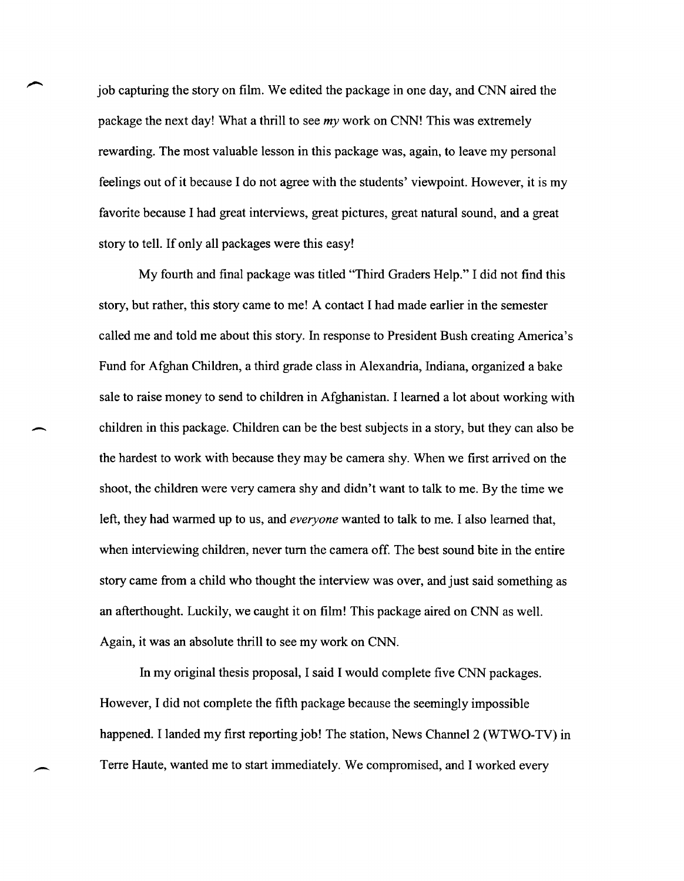job capturing the story on film. We edited the package in one day, and CNN aired the package the next day! What a thrill to see *my* work on CNN! This was extremely rewarding. The most valuable lesson in this package was, again, to leave my personal feelings out of it because I do not agree with the students' viewpoint. However, it is my favorite because I had great interviews, great pictures, great natural sound, and a great story to tell. If only all packages were this easy!

My fourth and final package was titled "Third Graders Help." I did not find this story, but rather, this story came to me! A contact I had made earlier in the semester called me and told me about this story. In response to President Bush creating America's Fund for Afghan Children, a third grade class in Alexandria, Indiana, organized a bake sale to raise money to send to children in Afghanistan. I learned a lot about working with - children in this package. Children can be the best subjects in a story, but they can also be the hardest to work with because they may be camera shy. When we first arrived on the shoot, the children were very camera shy and didn't want to talk to me. By the time we left, they had warmed up to us, and *everyone* wanted to talk to me. I also learned that, when interviewing children, never tum the camera off. The best sound bite in the entire story came from a child who thought the interview was over, and just said something as an afterthought. Luckily, we caught it on film! This package aired on CNN as well. Again, it was an absolute thrill to see my work on CNN.

In my original thesis proposal, I said I would complete five CNN packages. However, I did not complete the fifth package because the seemingly impossible happened. I landed my first reporting job! The station, News Channel 2 (WTWO-TV) in Terre Haute, wanted me to start immediately. We compromised, and I worked every

 $\overline{\phantom{0}}$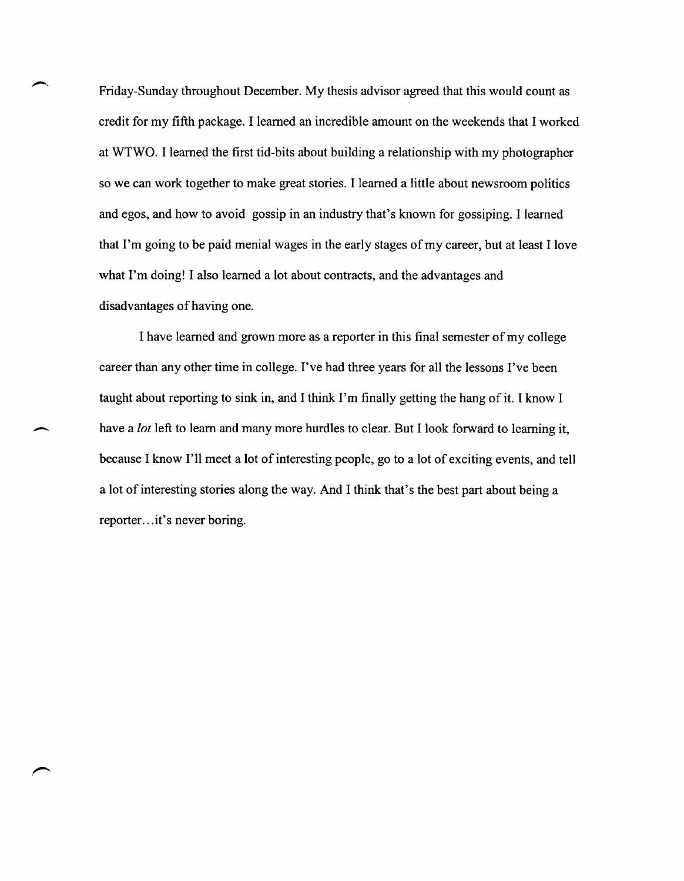Friday-Sunday throughout December. My thesis advisor agreed that this would count as credit for my fifth package. I learned an incredible amount on the weekends that I worked at WTWO. I learned the first tid-bits about building a relationship with my photographer so we can work together to make great stories. I learned a little about newsroom politics and egos, and how to avoid gossip in an industry that's known for gossiping. I learned that I'm going to be paid menial wages in the early stages of my career, but at least I love what I'm doing! I also learned a lot about contracts, and the advantages and disadvantages of having one.

I have learned and grown more as a reporter in this final semester of my college career than any other time in college. I've had three years for all the lessons I've been taught about reporting to sink in, and I think I'm finally getting the hang of it. I know I have a *lot* left to learn and many more hurdles to clear. But I look forward to learning it, because I know I'll meet a lot of interesting people, go to a lot of exciting events, and tell a lot of interesting stories along the way. And I think that's the best part about being a reporter...it's never boring.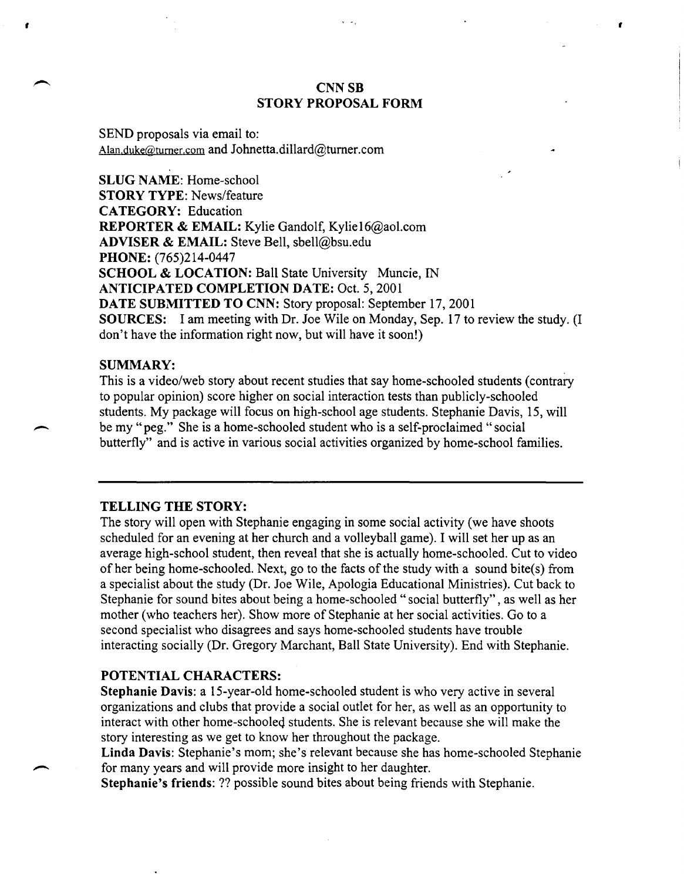### **CNN SB** STORY PROPOSAL FORM

,

SEND proposals via email to: Alan.duke@tumer.com and Johnetta.dillard@tumer.com

SLUG NAME: Home-school STORY TYPE: News/feature CATEGORY: Education REPORTER & EMAIL: Kylie Gandolf, Kylie16@aol.com ADVISER & EMAIL: Steve Bell, sbell@bsu.edu PHONE: (765)214-0447 SCHOOL & LOCATION: Ball State University Muncie, IN ANTICIPATED COMPLETION DATE: Oct. 5,2001 DATE SUBMITTED TO CNN: Story proposal: September 17, 2001 SOURCES: I am meeting with Dr. Joe Wile on Monday, Sep. 17 to review the study. (I don't have the information right now, but will have it soon!)

#### SUMMARY:

•

This is a video/web story about recent studies that say home-schooled students (contrary to popular opinion) score higher on social interaction tests than publicly-schooled students. My package will focus on high-school age students. Stephanie Davis, 15, will be my "peg." She is a home-schooled student who is a self-proclaimed "social butterfly" and is active in various social activities organized by home-school families.

#### TELLING THE STORY:

The story will open with Stephanie engaging in some social activity (we have shoots scheduled for an evening at her church and a volleyball game). I will set her up as an average high-school student, then reveal that she is actually home-schooled. Cut to video of her being home-schooled. Next, go to the facts of the study with a sound bite(s) from a specialist about the study (Dr. Joe Wile, Apologia Educational Ministries). Cut back to Stephanie for sound bites about being a home-schooled" social butterfly" , as well as her mother (who teachers her). Show more of Stephanie at her social activities. Go to a second specialist who disagrees and says home-schooled students have trouble interacting socially (Dr. Gregory Marchant, Ball State University). End with Stephanie.

#### POTENTIAL CHARACTERS:

Stephanie Davis: a 15-year-old home-schooled student is who very active in several organizations and clubs that provide a social outlet for her, as well as an opportunity to interact with other home-schooleq students. She is relevant because she will make the story interesting as we get to know her throughout the package.

Linda Davis: Stephanie's mom; she's relevant because she has home-schooled Stephanie for many years and will provide more insight to her daughter.

Stephanie's friends: ?? possible sound bites about being friends with Stephanie.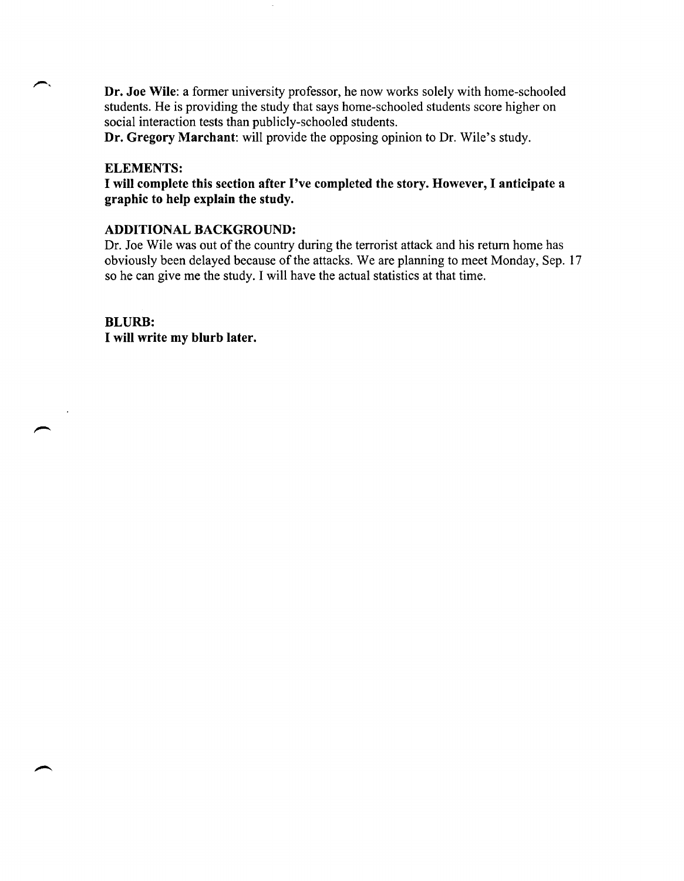**Dr. Joe Wile:** a former university professor, he now works solely with home-schooled students. He is providing the study that says home-schooled students score higher on social interaction tests than publicly-schooled students.

**Dr. Gregory Marchant:** will provide the opposing opinion to Dr. Wile's study.

#### **ELEMENTS:**

**I will complete this section after I've completed the story. However, I anticipate** a **graphic to help explain the study.** 

### **ADDITIONAL BACKGROUND:**

Dr. Joe Wile was out of the country during the terrorist attack and his return home has obviously been delayed because of the attacks. We are planning to meet Monday, Sep. 17 so he can give me the study. I will have the actual statistics at that time.

**BLURB: I will write my blurb later.**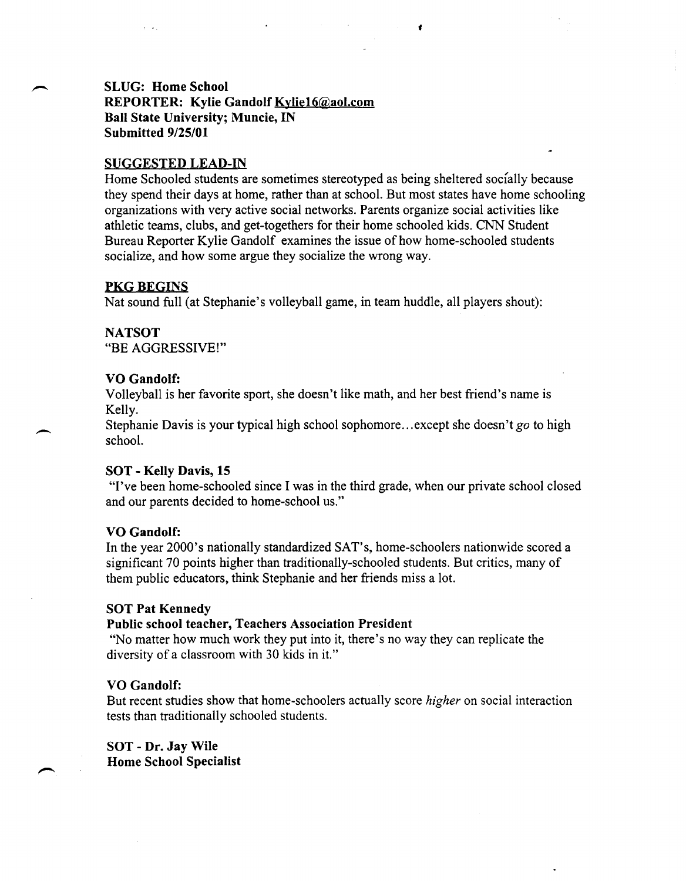### SLUG: Home School REPORTER: Kylie Gandolf Kylie16@aol.com Ball State University; Muncie, IN Submitted 9/25/01

### SUGGESTED LEAD-IN

Home Schooled students are sometimes stereotyped as being sheltered socially because they spend their days at home, rather than at school. But most states have home schooling organizations with very active social networks. Parents organize social activities like athletic teams, clubs, and get-togethers for their home schooled kids. CNN Student Bureau Reporter Kylie Gandolf examines the issue of how home-schooled students socialize, and how some argue they socialize the wrong way.

#### PKG BEGINS

Nat sound full (at Stephanie's volleyball game, in team huddle, all players shout):

#### NATSOT

 $\overline{\phantom{0}}$ 

"BE AGGRESSIVE!"

#### VO Gandolf:

Volleyball is her favorite sport, she doesn't like math, and her best friend's name is Kelly.

Stephanie Davis is your typical high school sophomore ... except she doesn't *go* to high school.

#### SOT - Kelly Davis, 15

"I've been home-schooled since I was in the third grade, when our private school closed and our parents decided to home-school us."

#### VO Gandolf:

In the year 2000's nationally standardized SAT's, home-schoolers nationwide scored a significant 70 points higher than traditionally-schooled students. But critics, many of them public educators, think Stephanie and her friends miss a lot.

#### SOT Pat Kennedy

### Public school teacher, Teachers Association President

"No matter how much work they put into it, there's no way they can replicate the diversity of a classroom with 30 kids in it."

#### VO Gandolf:

But recent studies show that home-schoolers actually score *higher* on social interaction tests than traditionally schooled students.

SOT - Dr. Jay Wile Home School Specialist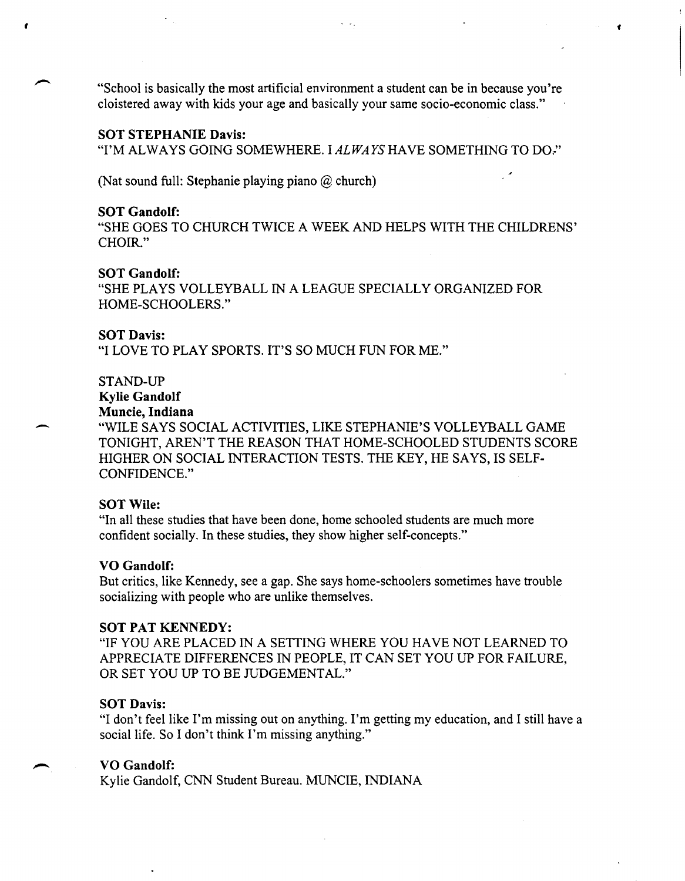"School is basically the most artificial environment a student can be in because you're cloistered away with kids your age and basically your same socio-economic class."

,

 $\mathbb{R}^2$ 

#### SOT STEPHANIE Davis:

"I'M ALWAYS GOING SOMEWHERE. I ALWAYS HAVE SOMETHING TO DO."

(Nat sound full: Stephanie playing piano @ church)

#### SOT Gandolf:

,

"SHE GOES TO CHURCH TWICE A WEEK AND HELPS WITH THE CHILDRENS' CHOIR."

#### SOT Gandolf:

"SHE PLAYS VOLLEYBALL IN A LEAGUE SPECIALLY ORGANIZED FOR HOME-SCHOOLERS."

#### SOT Davis:

"I LOVE TO PLAY SPORTS. IT'S SO MUCH FUN FOR ME."

#### STAND-UP

# Kylie Gandolf

## Muncie, Indiana

"WILE SAYS SOCIAL ACTIVITIES, LIKE STEPHANIE'S VOLLEYBALL GAME TONIGHT, AREN'T THE REASON THAT HOME-SCHOOLED STUDENTS SCORE HIGHER ON SOCIAL INTERACTION TESTS. THE KEY, HE SAYS, IS SELF-CONFIDENCE."

#### SOT Wile:

"In all these studies that have been done, home schooled students are much more confident socially. In these studies, they show higher self-concepts."

#### VO Gandolf:

But critics, like Kennedy, see a gap. She says home-schoolers sometimes have trouble socializing with people who are unlike themselves.

#### SOT PAT KENNEDY:

"IF YOU ARE PLACED IN A SETTING WHERE YOU HA VE NOT LEARNED TO APPRECIATE DIFFERENCES IN PEOPLE, IT CAN SET YOU UP FOR FAILURE, OR SET YOU UP TO BE JUDGEMENTAL."

#### SOT Davis:

"I don't feel like I'm missing out on anything. I'm getting my education, and I still have a social life. So I don't think I'm missing anything."

### VO Gandolf:

 $\ddot{\phantom{0}}$ 

Kylie Gandolf, CNN Student Bureau. MUNCIE, INDIANA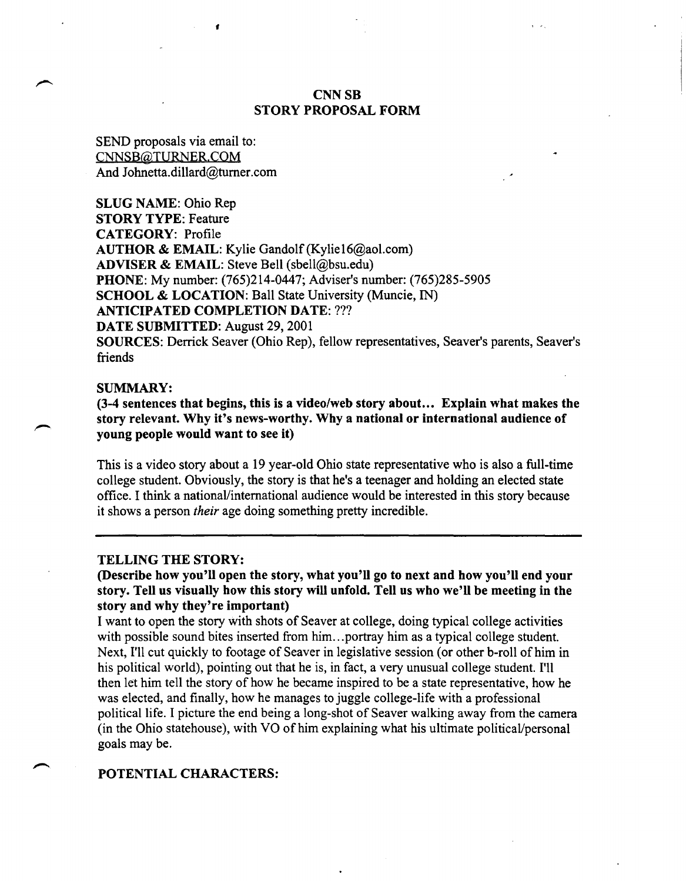### CNN<sub>SB</sub> STORY PROPOSAL FORM

SEND proposals via email to: CNNSB@TURNER.COM And 10hnetta.dillard@turner.com

•

SLUG NAME: Ohio Rep STORY TYPE: Feature CATEGORY: Profile AUTHOR & EMAIL: Kylie Gandolf (Kylie16@aol.com) ADVISER & EMAIL: Steve Bell (sbell@bsu.edu) PHONE: My number: (765)214-0447; Adviser's number: (765)285-5905 SCHOOL & LOCATION: Ball State University (Muncie, IN) ANTICIPATED COMPLETION DATE: ??? DATE SUBMITTED: August 29, 2001 SOURCES: Derrick Seaver (Ohio Rep), fellow representatives, Seaver's parents, Seaver's friends

#### SUMMARY:

(3-4 sentences that begins, this is a video/web story about ... Explain what makes the story relevant. Why it's news-worthy. Why a national or international audience of young people would want to see it)

This is a video story about a 19 year-old Ohio state representative who is also a full-time college student. Obviously, the story is that he's a teenager and holding an elected state office. I think a national/international audience would be interested in this story because it shows a person *their* age doing something pretty incredible.

#### TELLING THE STORY:

(Describe how you'll open the story, what you'll go to next and how you'll end your story. Tell us visually how this story will unfold. Tell us who we'll be meeting in the story and why they're important)

I want to open the story with shots of Seaver at college, doing typical college activities with possible sound bites inserted from him...portray him as a typical college student. Next, I'll cut quickly to footage of Seaver in legislative session (or other b-roll of him in his political world), pointing out that he is, in fact, a very unusual college student. I'll then let him tell the story of how he became inspired to be a state representative, how he was elected, and finally, how he manages to juggle college-life with a professional political life. I picture the end being a long-shot of Seaver walking away from the camera (in the Ohio statehouse), with VO of him explaining what his ultimate political/personal goals may be.

#### POTENTIAL CHARACTERS: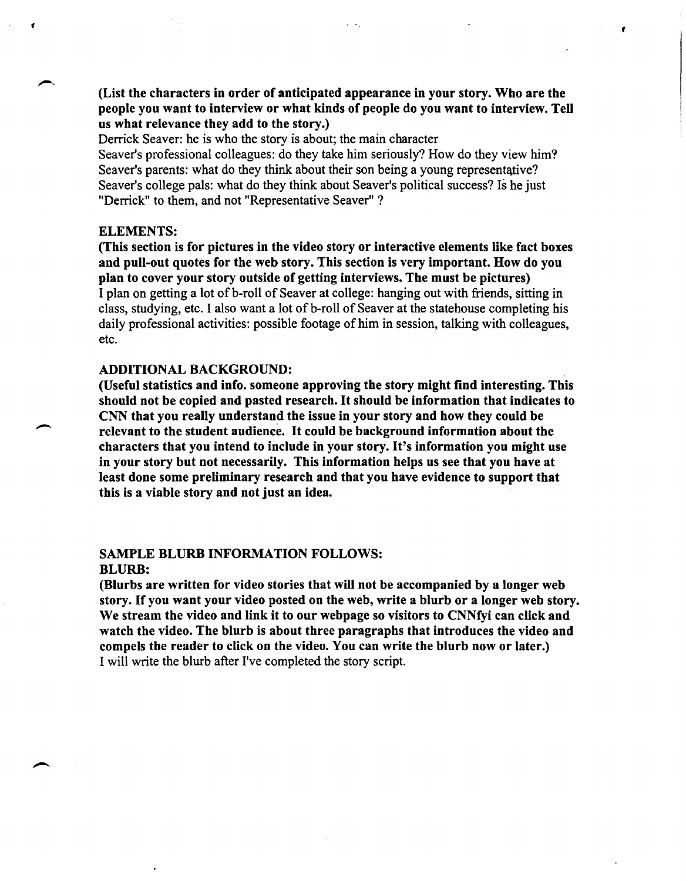(List the characters in order of anticipated appearance in your story. Who are the people you want to interview or what kinds of people do you want to interview. Tell us what relevance they add to the story.)

,

Derrick Seaver: he is who the story is about; the main character Seaver's professional colleagues: do they take him seriously? How do they view him? Seaver's parents: what do they think about their son being a young representative? Seaver's college pals: what do they think about Seaver's political success? Is he just "Derrick" to them, and not "Representative Seaver" ?

#### ELEMENTS:

,

 $\overline{\phantom{a}}$ 

(This section is for pictures in the video story or interactive elements like fact boxes and pull-out quotes for the web story. This section is very important. How do you plan to cover your story outside of getting interviews. The must be pictures) I plan on getting a lot of b-roll of Seaver at college: hanging out with friends, sitting in class, studying, etc. I also want a lot of b-roll of Seaver at the statehouse completing his daily professional activities: possible footage of him in session, talking with colleagues, etc.

#### ADDITIONAL BACKGROUND:

(Useful statistics and info. someone approving the story might find interesting. This should not be copied and pasted research. It should be information that indicates to CNN that you really understand the issue in your story and how they could be relevant to the student audience. It could be background information about the characters that you intend to include in your story. It's information you might use in your story but not necessarily. This information helps us see that you have at least done some preliminary research and that you have evidence to support that this is a viable story and not just an idea.

#### SAMPLE BLURB INFORMATION FOLLOWS: BLURB:

(Blurbs are written for video stories that will not be accompanied by a longer web story. If you want your video posted on the web, write a blurb or a longer web story. We stream the video and link it to our webpage so visitors to CNNfyi can click and watch the video. The blurb is about three paragraphs that introduces the video and compels the reader to click on the video. You can write the blurb now or later.) I will write the blurb after I've completed the story script.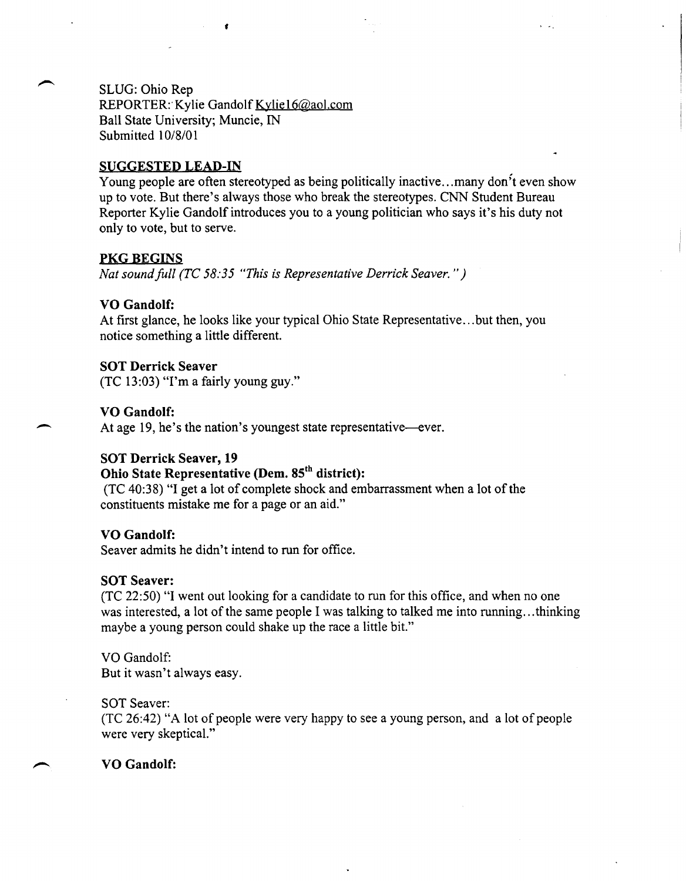SLUG: Ohio Rep

REPORTER: Kylie Gandolf Kylie16@aol.com Ball State University; Muncie, IN Submitted 10/8/01

### SUGGESTED LEAD-IN

Young people are often stereotyped as being politically inactive...many don<sup>3</sup>t even show up to vote. But there's always those who break the stereotypes. CNN Student Bureau Reporter Kylie Gandolf introduces you to a young politician who says it's his duty not only to vote, but to serve.

### **PKG BEGINS**

*Nat sound full (TC 58:35 "This is Representative Derrick Seaver.")* 

### VO Gandolf:

At first glance, he looks like your typical Ohio State Representative ... but then, you notice something a little different.

### SOT Derrick Seaver

(TC 13:03) "I'm a fairly young guy."

### VO Gandolf:

 $\overline{\phantom{0}}$ 

At age 19, he's the nation's youngest state representative—ever.

### SOT Derrick Seaver, 19

# Ohio State Representative (Dem. 85<sup>th</sup> district):

(TC 40:38) "I get a lot of complete shock and embarrassment when a lot of the constituents mistake me for a page or an aid."

#### VO Gandolf:

Seaver admits he didn't intend to run for office.

#### SOT Seaver:

(TC 22:50) "I went out looking for a candidate to run for this office, and when no one was interested, a lot of the same people I was talking to talked me into running...thinking maybe a young person could shake up the race a little bit."

VO Gandolf: But it wasn't always easy.

#### SOT Seaver:

(TC 26:42) "A lot of people were very happy to see a young person, and a lot of people were very skeptical."

### VO Gandolf: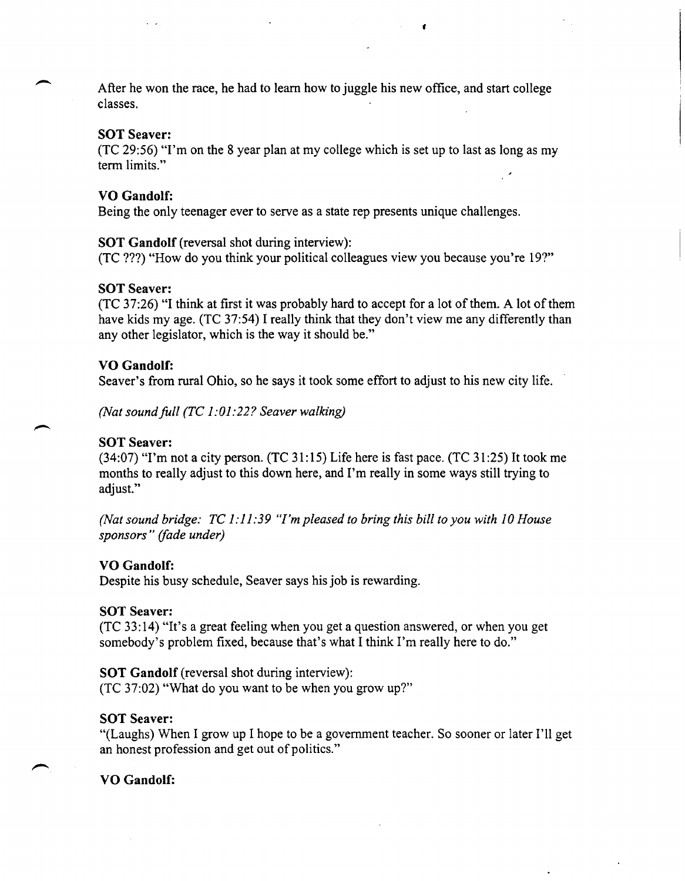After he won the race, he had to learn how to juggle his new office, and start college classes.

f

#### SOT Seaver:

(TC 29:56) "I'm on the 8 year plan at my college which is set up to last as long as my term limits."

#### VO Gandolf:

Being the only teenager ever to serve as a state rep presents unique challenges.

SOT Gandolf (reversal shot during interview):

(TC ???) "How do you think your political colleagues view you because you're 19?"

#### SOT Seaver:

(TC 37:26) "I think at first it was probably hard to accept for a lot of them. A lot of them have kids my age. (TC 37:54) I really think that they don't view me any differently than any other legislator, which is the way it should be."

### VO Gandolf:

Seaver's from rural Ohio, so he says it took some effort to adjust to his new city life.

*(Nat soundfull (TC 1:01:22? Seaver walking)* 

#### SOT Seaver:

 $(34:07)$  "I'm not a city person. (TC 31:15) Life here is fast pace. (TC 31:25) It took me months to really adjust to this down here, and I'm really in some ways still trying to adjust."

*(Nat sound bridge: TC* 1: 11 :39 *''I'm pleased to bring this bill to you with 10 House sponsors" (jade under)* 

#### VO Gandolf:

Despite his busy schedule, Seaver says his job is rewarding.

#### SOT Seaver:

(TC 33:14) "It's a great feeling when you get a question answered, or when you get somebody's problem fixed, because that's what I think I'm really here to do."

SOT Gandolf (reversal shot during interview): (TC 37:02) "What do you want to be when you grow up?"

### SOT Seaver:

"(Laughs) When 1 grow up 1 hope to be a government teacher. So sooner or later I'll get an honest profession and get out of politics."

#### VO Gandolf: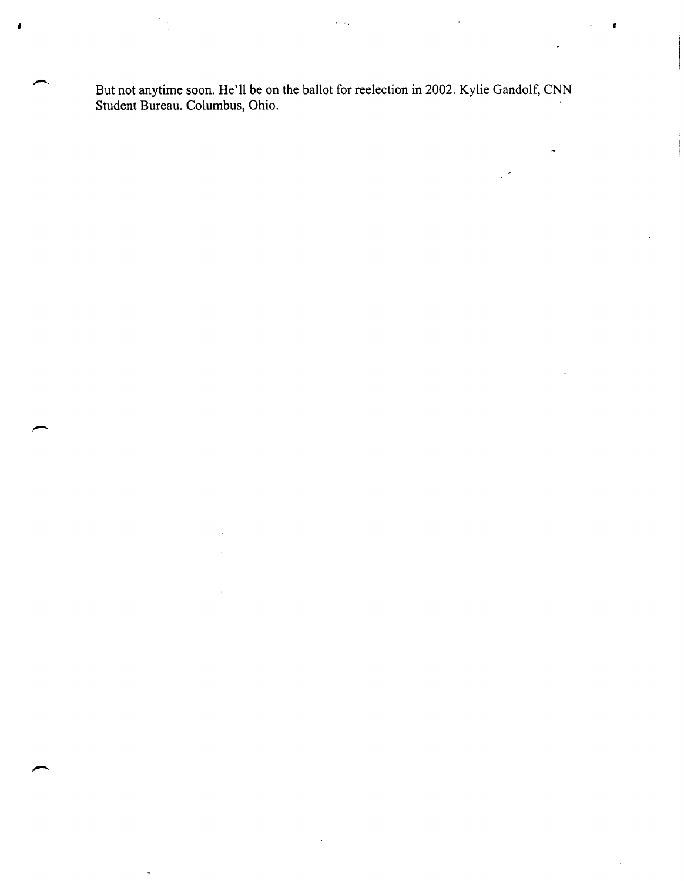But not anytime soon. He'll be on the ballot for reelection in 2002. Kylie Gandolf, CNN Student Bureau. Columbus, Ohio.

 $\sqrt{2}$ 

,

 $\mathcal{L}$ 

,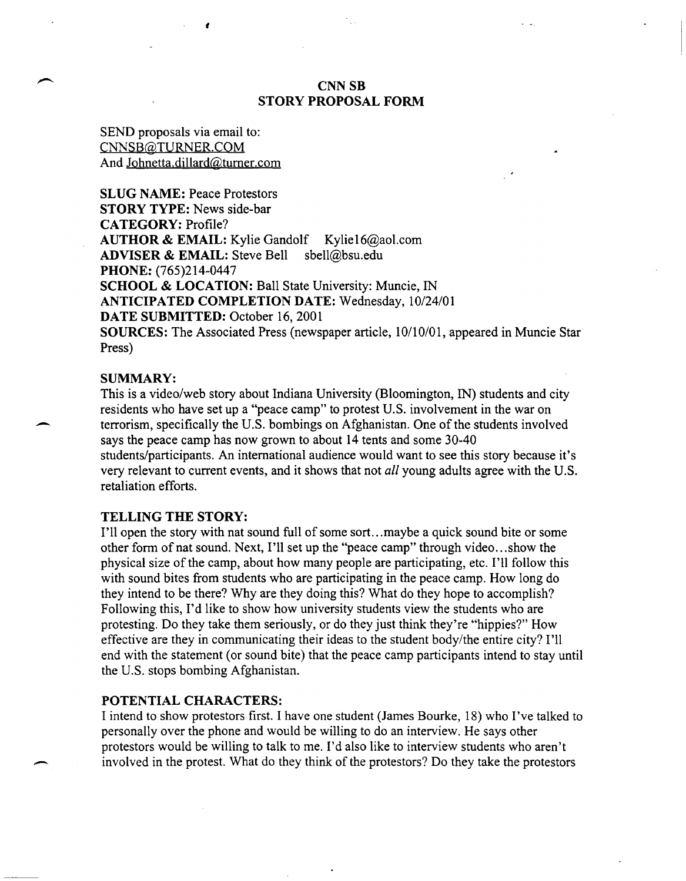### CNNSB STORY PROPOSAL FORM

SEND proposals via email to: CNNSB@TURNER.COM And Johnetta.dillard@turner.com

*t* 

SLUG NAME: Peace Protestors STORY TYPE: News side-bar CATEGORY: Profile? AUTHOR & EMAIL: Kylie Gandolf Kylie16@aol.com ADVISER & EMAIL: Steve Bell sbell@bsu.edu PHONE: (765)214-0447 SCHOOL & LOCATION: Ball State University: Muncie, IN ANTICIPATED COMPLETION DATE: Wednesday, 10/24/01 DATE SUBMITTED: October 16, 2001 SOURCES: The Associated Press (newspaper article, 10/10/01, appeared in Muncie Star Press)

#### SUMMARY:

This is a video/web story about Indiana University (Bloomington, IN) students and city residents who have set up a "peace camp" to protest U.S. involvement in the war on terrorism, specifically the U.S. bombings on Afghanistan. One of the students involved says the peace camp has now grown to about 14 tents and some 30-40 students/participants. An international audience would want to see this story because it's very relevant to current events, and it shows that not *all* young adults agree with the U.S. retaliation efforts.

### TELLING THE STORY:

I'll open the story with nat sound full of some sort ... maybe a quick sound bite or some other form of nat sound. Next, I'll set up the "peace camp" through video ... show the physical size of the camp, about how many people are participating, etc. I'll follow this with sound bites from students who are participating in the peace camp. How long do they intend to be there? Why are they doing this? What do they hope to accomplish? Following this, I'd like to show how university students view the students who are protesting. Do they take them seriously, or do they just think they're "hippies?" How effective are they in communicating their ideas to the student body/the entire city? I'll end with the statement (or sound bite) that the peace camp participants intend to stay until the U.S. stops bombing Afghanistan.

#### POTENTIAL CHARACTERS:

I intend to show protestors first. I have one student (James Bourke, 18) who I've talked to personally over the phone and would be willing to do an interview. He says other protestors would be willing to talk to me. I'd also like to interview students who aren't involved in the protest. What do they think of the protestors? Do they take the protestors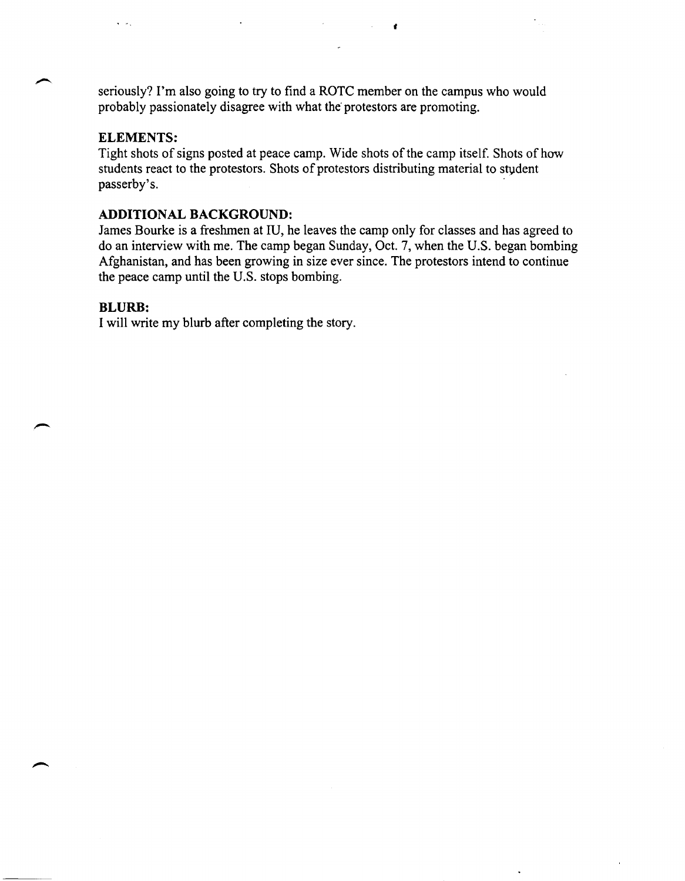seriously? I'm also going to try to find a ROTC member on the campus who would probably passionately disagree with what the' protestors are promoting.

f

### **ELEMENTS:**

Tight shots of signs posted at peace camp. Wide shots of the camp itself. Shots of how students react to the protestors. Shots of protestors distributing material to student passerby's. .

### **ADDITIONAL BACKGROUND:**

James Bourke is a freshmen at IU, he leaves the camp only for classes and has agreed to do an interview with me. The camp began Sunday, Oct. 7, when the U.S. began bombing Afghanistan, and has been growing in size ever since. The protestors intend to continue the peace camp until the U.S. stops bombing.

#### **BLURB:**

I will write my blurb after completing the story.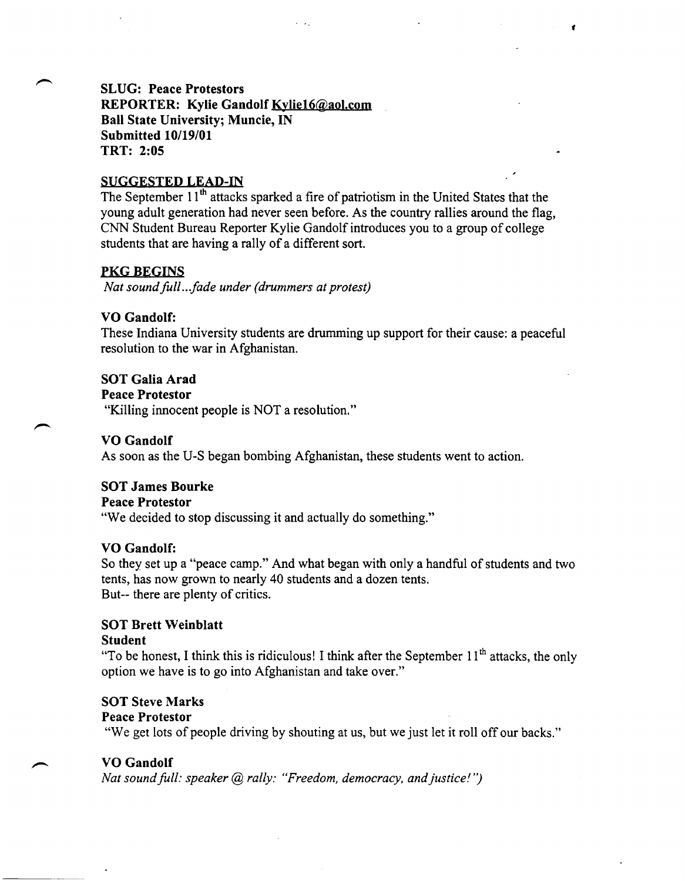# SLUG: Peace Protestors

REPORTER: Kylie Gandolf Kylie16@aol.com Ball State University; Muncie, IN Submitted *10/19/01*  TRT: 2:05

### SUGGESTED LEAD-IN

The September 11<sup>th</sup> attacks sparked a fire of patriotism in the United States that the young adult generation had never seen before. As the country rallies around the flag, CNN Student Bureau Reporter Kylie Gandolf introduces you to a group of college students that are having a rally of a different sort.

*t* 

### PKG BEGINS

*Nat soundfull .. fade under (drummers at protest)* 

### VO Gandolf:

These Indiana University students are drumming up support for their cause: a peaceful resolution to the war in Afghanistan.

### SOT Galia Arad

Peace Protestor

"Killing innocent people is NOT a resolution."

### VO Gandolf

As soon as the U-S began bombing Afghanistan, these students went to action.

### SOT James Bourke

#### Peace Protestor

"We decided to stop discussing it and actually do something."

### VO Gandolf:

So they set up a "peace camp." And what began with only a handful of students and two tents, has now grown to nearly 40 students and a dozen tents. But-- there are plenty of critics.

### SOT Brett Weinblatt

#### Student

"To be honest, I think this is ridiculous! I think after the September  $11<sup>th</sup>$  attacks, the only option we have is to go into Afghanistan and take over."

### **SOT Steve Marks**

### Peace Protestor

"We get lots of people driving by shouting at us, but we just let it roll off our backs."

### VO Gandolf

*Nat sound full: speaker (a) rally: "Freedom, democracy, and justice!")*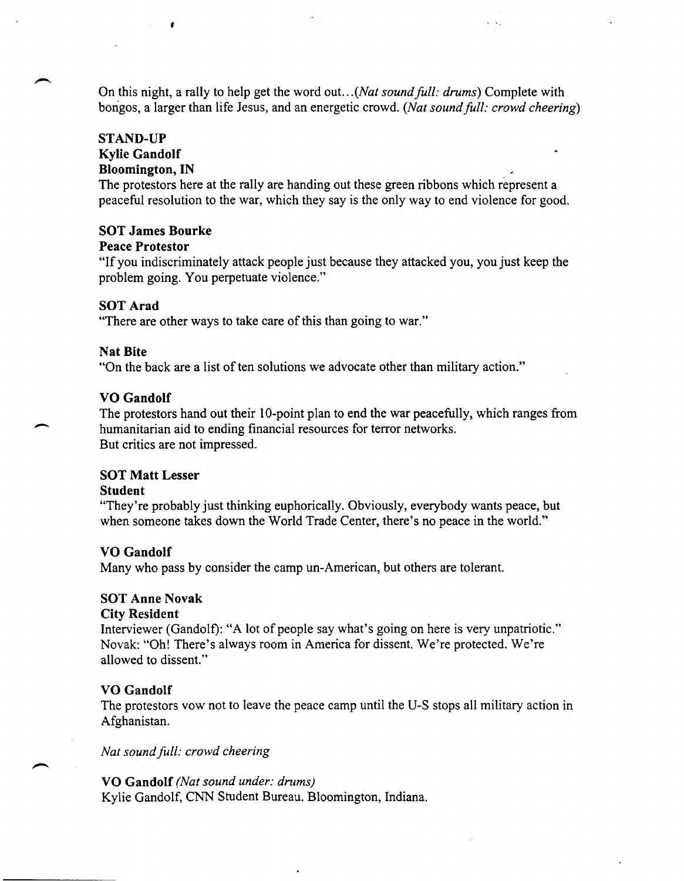On this night, a rally to help get the word out. .. *(Nat sound full: drums)* Complete with bongos, a larger than life Jesus, and an energetic crowd. *(Nat sound full: crowd cheering)* 

#### STAND-UP

### Kylie Gandolf Bloomington, IN

,

The protestors here at the rally are handing out these green ribbons which represent a peaceful resolution to the war, which they say is the only way to end violence for good.

### SOT James Bourke

#### Peace Protestor

"If you indiscriminately attack people just because they attacked you, you just keep the problem going. You perpetuate violence."

### SOT Arad

"There are other ways to take care of this than going to war."

### Nat Bite

"On the back are a list of ten solutions we advocate other than military action."

### VO Gandolf

The protestors hand out their IO-point plan to end the war peacefully, which ranges from humanitarian aid to ending financial resources for terror networks. But critics are not impressed.

### SOT Matt Lesser

#### Student

 $\overline{\phantom{a}}$ 

"They're probably just thinking euphorically. Obviously, everybody wants peace, but when someone takes down the World Trade Center, there's no peace in the world."

### VO Gandolf

Many who pass by consider the camp un-American, but others are tolerant.

### SOT Anne Novak

#### City Resident

Interviewer (Gandolf): "A lot of people say what's going on here is very unpatriotic." Novak: "Oh! There's always room in America for dissent. We're protected. We're allowed to dissent."

### VO Gandolf

The protestors vow not to leave the peace camp until the U-S stops all military action in Afghanistan.

*Nat sound full: crowd cheering* 

### VO Gandolf *(Nat sound under: drums)*

Kylie Gandolf, CNN Student Bureau. Bloomington, Indiana.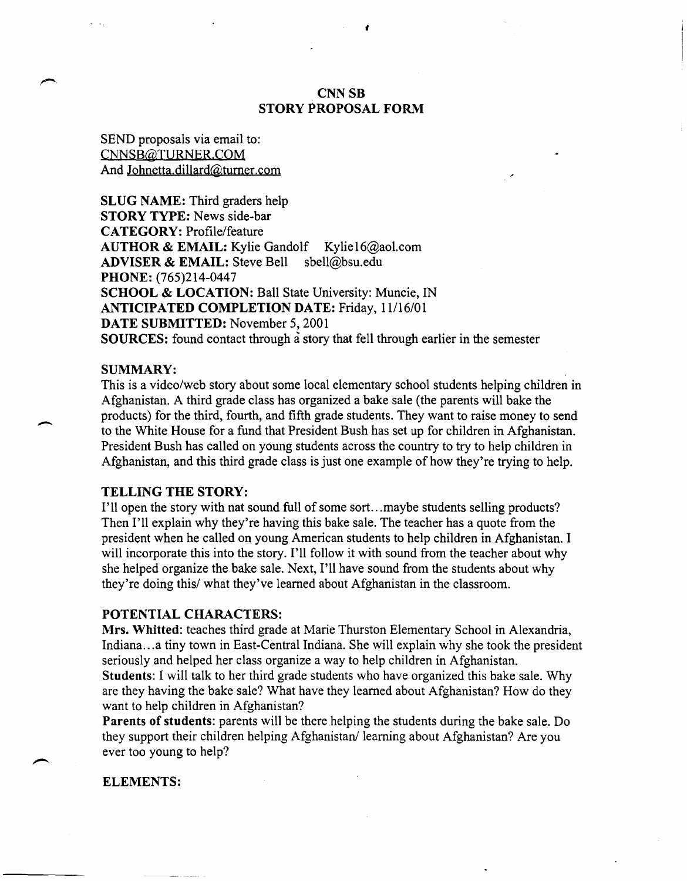### CNNSB STORY PROPOSAL FORM

•

SEND proposals via email to: CNNSB@TURNER.COM And Johnetta.dillard@turner.com

SLUG NAME: Third graders help STORY TYPE: News side-bar CATEGORY: Profile/feature AUTHOR & EMAIL: Kylie Gandolf Kylie16@aol.com ADVISER & EMAIL: Steve Bell sbell@bsu.edu PHONE: (765)214-0447 SCHOOL & LOCATION: Ball State University: Muncie, IN ANTICIPATED COMPLETION DATE: Friday, 11/16/01 DATE SUBMITTED: November 5, 2001 SOURCES: found contact through a story that fell through earlier in the semester

### SUMMARY:

 $\overline{\phantom{a}}$ 

This is a video/web story about some local elementary school students helping children in Afghanistan. A third grade class has organized a bake sale (the parents will bake the products) for the third, fourth, and fifth grade students. They want to raise money to send to the White House for a fund that President Bush has set up for children in Afghanistan. President Bush has called on young students across the country to try to help children in Afghanistan, and this third grade class is just one example of how they're trying to help.

#### TELLING THE STORY:

I'll open the story with nat sound full of some sort...maybe students selling products? Then I'll explain why they're having this bake sale. The teacher has a quote from the president when he called on young American students to help children in Afghanistan. I will incorporate this into the story. I'll follow it with sound from the teacher about why she helped organize the bake sale. Next, I'll have sound from the students about why they're doing this/ what they've learned about Afghanistan in the classroom.

#### POTENTIAL CHARACTERS:

Mrs. Whitted: teaches third grade at Marie Thurston Elementary School in Alexandria, Indiana ... a tiny town in East-Central Indiana. She will explain why she took the president seriously and helped her class organize a way to help children in Afghanistan.

Students: I will talk to her third grade students who have organized this bake sale. Why are they having the bake sale? What have they learned about Afghanistan? How do they want to help children in Afghanistan?

Parents of students: parents will be there helping the students during the bake sale. Do they support their children helping Afghanistan/learning about Afghanistan? Are you ever too young to help?

#### ELEMENTS: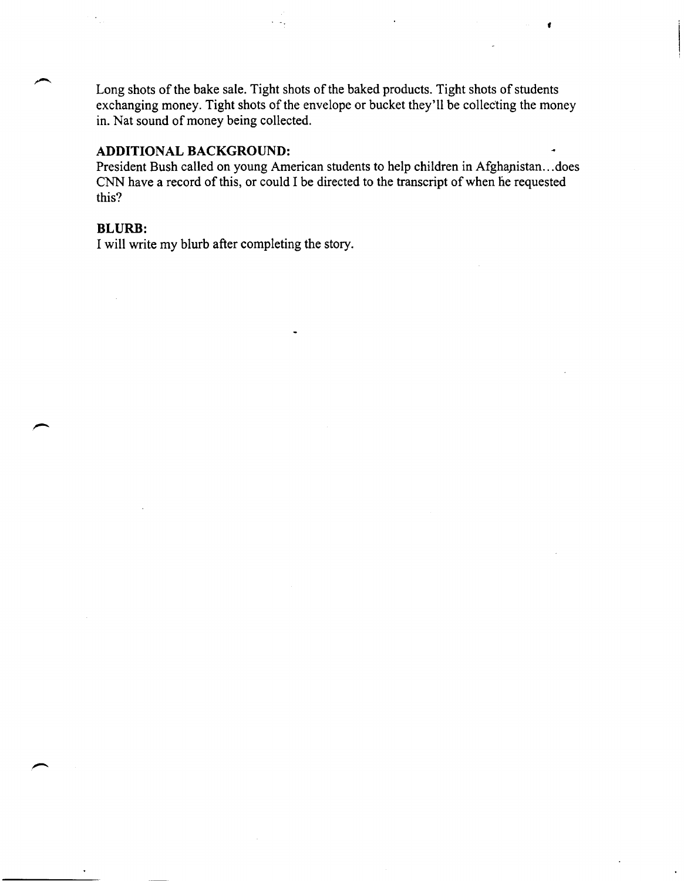Long shots of the bake sale. Tight shots of the baked products. Tight shots of students exchanging money. Tight shots of the envelope or bucket they'll be collecting the money in. Nat sound of money being collected.

f

### **ADDITIONAL BACKGROUND:**

President Bush called on young American students to help children in Afghapistan ... does CNN have a record of this, or could I be directed to the transcript of when he requested this?

### **BLURB:**

I will write my blurb after completing the story.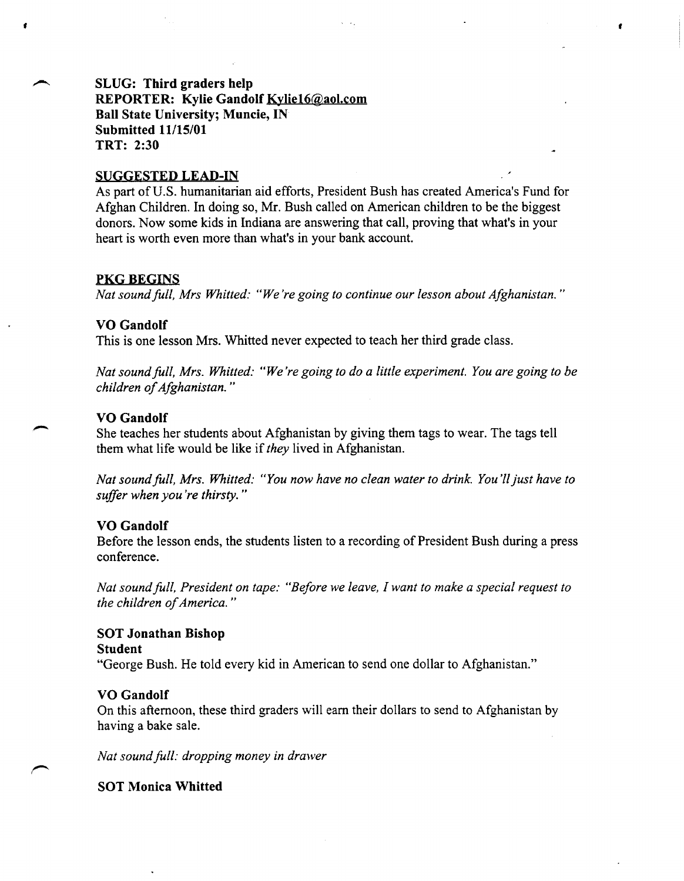### **SLUG: Third graders help REPORTER: Kylie Gandolf Kyliel6@aol.com Ball State University; Muncie, IN Submitted 11115/01 TRT: 2:30**

#### **SUGGESTED LEAD-IN**

As part of U.S. humanitarian aid efforts, President Bush has created America's Fund for Afghan Children. In doing so, Mr. Bush called on American children to be the biggest donors. Now some kids in Indiana are answering that call, proving that what's in your heart is worth even more than what's in your bank account.

,

### **PKG BEGINS**

•

*Nat sound full, Mrs Whitted: "We're going to continue our lesson about Afghanistan."* 

### **VO Gandolf**

This is one lesson Mrs. Whitted never expected to teach her third grade class.

*Nat soundfull, Mrs. Whitted: "We're going to do a little experiment. You are going to be children of Afghanistan. "* 

### **VO Gandolf**

She teaches her students about Afghanistan by giving them tags to wear. The tags tell them what life would be like if *they* lived in Afghanistan.

*Nat sound full, Mrs. Whitted: "You now have no clean water to drink. You'll just have to suffer when you're thirsty. "* 

### **VO Gandolf**

Before the lesson ends, the students listen to a recording of President Bush during a press conference.

*Nat sound full, President on tape: "Before we leave, I want to make a special request to the children of America. "* 

# **SOT Jonathan Bishop Student**

"George Bush. He told every kid in American to send one dollar to Afghanistan."

### **VO Gandolf**

On this afternoon, these third graders will earn their dollars to send to Afghanistan by having a bake sale.

*Nat sound full: dropping money in drawer* 

**SOT Monica Whitted**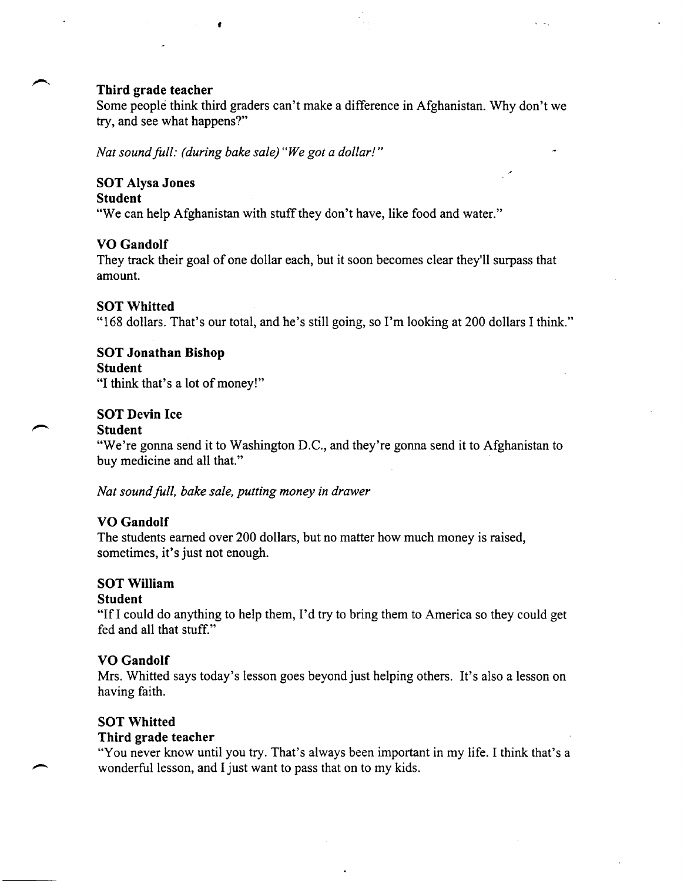### **Third grade teacher**

Some people think third graders can't make a difference in Afghanistan. Why don't we try, and see what happens?"

 $\mathbb{R}^2$ 

*Nat soundfull: (during bake sale) "We got a dollar!"* 

f

### **SOT Alysa Jones**

#### **Student**

"We can help Afghanistan with stuff they don't have, like food and water."

### **VO Gandolf**

They track their goal of one dollar each, but it soon becomes clear they'll surpass that amount.

### SOT Whitted

"168 dollars. That's our total, and he's still going, so I'm looking at 200 dollars I think."

### **SOT Jonathan Bishop**

### **Student**

"I think that's a lot of money!"

### **SOT Devin Ice**

#### **Student**

"We're gonna send it to Washington D.C., and they're gonna send it to Afghanistan to buy medicine and all that."

*Nat sound full, bake sale, putting money in drawer* 

### **VO Gandolf**

The students earned over 200 dollars, but no matter how much money is raised, sometimes, it's just not enough.

### SOT William

#### **Student**

"IfI could do anything to help them, I'd try to bring them to America so they could get fed and all that stuff."

### **VO Gandolf**

Mrs. Whitted says today's lesson goes beyond just helping others. It's also a lesson on having faith.

### **SOT Whitted**

### **Third grade teacher**

"You never know until you try. That's always been important in my life. I think that's a wonderful lesson, and I just want to pass that on to my kids.